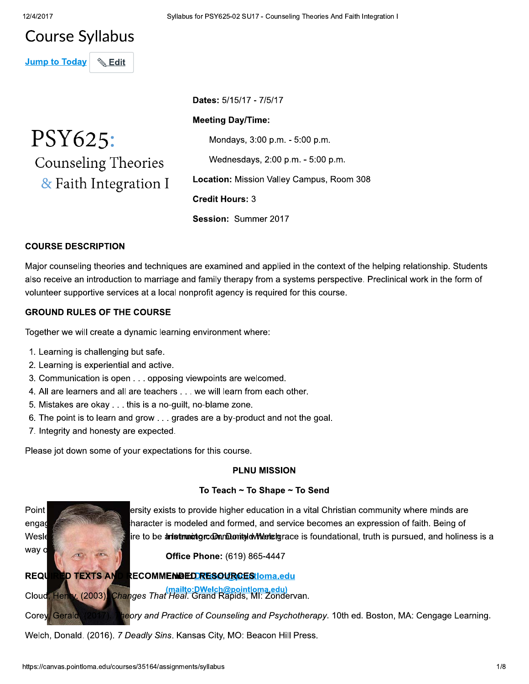# **Course Syllabus**

**Jump to Today Edit** 

PSY625: Counseling Theories & Faith Integration I Dates: 5/15/17 - 7/5/17

#### **Meeting Day/Time:**

Mondays, 3:00 p.m. - 5:00 p.m.

Wednesdays, 2:00 p.m. - 5:00 p.m.

Location: Mission Valley Campus, Room 308

**Credit Hours: 3** 

Session: Summer 2017

## **COURSE DESCRIPTION**

Major counseling theories and techniques are examined and applied in the context of the helping relationship. Students also receive an introduction to marriage and family therapy from a systems perspective. Preclinical work in the form of volunteer supportive services at a local nonprofit agency is required for this course.

#### **GROUND RULES OF THE COURSE**

Together we will create a dynamic learning environment where:

- 1. Learning is challenging but safe.
- 2. Learning is experiential and active.
- 3. Communication is open . . . opposing viewpoints are welcomed.
- 4. All are learners and all are teachers . . . we will learn from each other.
- 5. Mistakes are okay . . . this is a no-guilt, no-blame zone.
- 6. The point is to learn and grow . . . grades are a by-product and not the goal.
- 7. Integrity and honesty are expected.

Please jot down some of your expectations for this course.

#### **PLNU MISSION**

#### To Teach ~ To Shape ~ To Send



ersity exists to provide higher education in a vital Christian community where minds are haracter is modeled and formed, and service becomes an expression of faith. Being of ire to be anstrumatgrocom.mDomityldwMertelgrace is foundational, truth is pursued, and holiness is a

Office Phone: (619) 865-4447

#### RECOMMEMBEDRESOURCESIoma.edu

<mark>(mailto:DWelch@pointloma.edu)</mark><br>Changes That Heal. Grand Rapids, MI: Zondervan. ۷۰۰۷)

ieory and Practice of Counseling and Psychotherapy. 10th ed. Boston, MA: Cengage Learning.

Welch, Donald. (2016). 7 Deadly Sins. Kansas City, MO: Beacon Hill Press.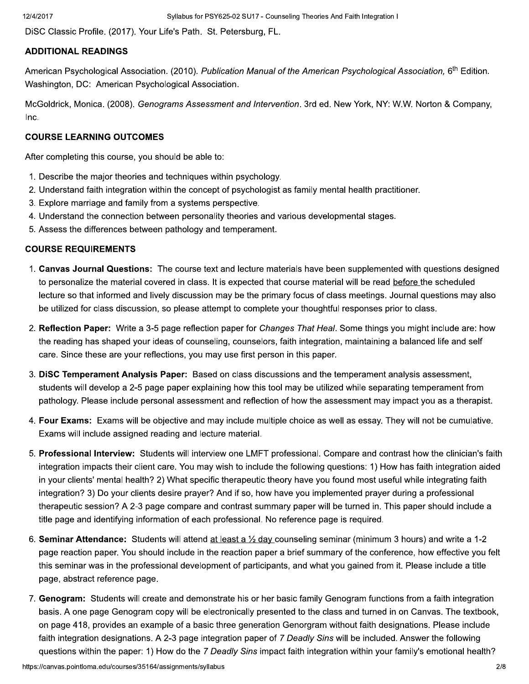DiSC Classic Profile. (2017). Your Life's Path. St. Petersburg, FL.

#### **ADDITIONAL READINGS**

American Psychological Association. (2010). Publication Manual of the American Psychological Association, 6<sup>th</sup> Edition. Washington, DC: American Psychological Association.

McGoldrick, Monica. (2008). Genograms Assessment and Intervention. 3rd ed. New York, NY: W.W. Norton & Company, Inc.

#### **COURSE LEARNING OUTCOMES**

After completing this course, you should be able to:

- 1. Describe the major theories and techniques within psychology.
- 2. Understand faith integration within the concept of psychologist as family mental health practitioner.
- 3. Explore marriage and family from a systems perspective.
- 4. Understand the connection between personality theories and various developmental stages.
- 5. Assess the differences between pathology and temperament.

#### **COURSE REQUIREMENTS**

- 1. Canvas Journal Questions: The course text and lecture materials have been supplemented with questions designed to personalize the material covered in class. It is expected that course material will be read before the scheduled lecture so that informed and lively discussion may be the primary focus of class meetings. Journal questions may also be utilized for class discussion, so please attempt to complete your thoughtful responses prior to class.
- 2. Reflection Paper: Write a 3-5 page reflection paper for Changes That Heal. Some things you might include are: how the reading has shaped your ideas of counseling, counselors, faith integration, maintaining a balanced life and self care. Since these are your reflections, you may use first person in this paper.
- 3. DISC Temperament Analysis Paper: Based on class discussions and the temperament analysis assessment, students will develop a 2-5 page paper explaining how this tool may be utilized while separating temperament from pathology. Please include personal assessment and reflection of how the assessment may impact you as a therapist.
- 4. Four Exams: Exams will be objective and may include multiple choice as well as essay. They will not be cumulative. Exams will include assigned reading and lecture material.
- 5. Professional Interview: Students will interview one LMFT professional. Compare and contrast how the clinician's faith integration impacts their client care. You may wish to include the following questions: 1) How has faith integration aided in your clients' mental health? 2) What specific therapeutic theory have you found most useful while integrating faith integration? 3) Do your clients desire prayer? And if so, how have you implemented prayer during a professional therapeutic session? A 2-3 page compare and contrast summary paper will be turned in. This paper should include a title page and identifying information of each professional. No reference page is reguired.
- 6. Seminar Attendance: Students will attend at least a  $\frac{1}{2}$  day counseling seminar (minimum 3 hours) and write a 1-2 page reaction paper. You should include in the reaction paper a brief summary of the conference, how effective you felt this seminar was in the professional development of participants, and what you gained from it. Please include a title page, abstract reference page.
- 7. Genogram: Students will create and demonstrate his or her basic family Genogram functions from a faith integration basis. A one page Genogram copy will be electronically presented to the class and turned in on Canvas. The textbook, on page 418, provides an example of a basic three generation Genorgram without faith designations. Please include faith integration designations. A 2-3 page integration paper of 7 Deadly Sins will be included. Answer the following questions within the paper: 1) How do the 7 Deadly Sins impact faith integration within your family's emotional health?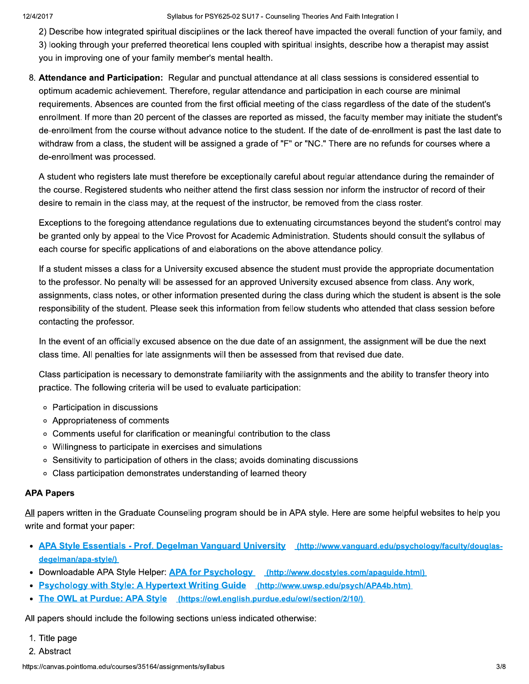Syllabus for PSY625-02 SU17 - Counseling Theories And Faith Integration I

2) Describe how integrated spiritual disciplines or the lack thereof have impacted the overall function of your family, and 3) looking through your preferred theoretical lens coupled with spiritual insights, describe how a therapist may assist you in improving one of your family member's mental health.

8. Attendance and Participation: Regular and punctual attendance at all class sessions is considered essential to optimum academic achievement. Therefore, regular attendance and participation in each course are minimal requirements. Absences are counted from the first official meeting of the class regardless of the date of the student's enrollment. If more than 20 percent of the classes are reported as missed, the faculty member may initiate the student's de-enrollment from the course without advance notice to the student. If the date of de-enrollment is past the last date to withdraw from a class, the student will be assigned a grade of "F" or "NC." There are no refunds for courses where a de-enrollment was processed.

A student who registers late must therefore be exceptionally careful about regular attendance during the remainder of the course. Registered students who neither attend the first class session nor inform the instructor of record of their desire to remain in the class may, at the request of the instructor, be removed from the class roster.

Exceptions to the foregoing attendance regulations due to extenuating circumstances beyond the student's control may be granted only by appeal to the Vice Provost for Academic Administration. Students should consult the syllabus of each course for specific applications of and elaborations on the above attendance policy.

If a student misses a class for a University excused absence the student must provide the appropriate documentation to the professor. No penalty will be assessed for an approved University excused absence from class. Any work, assignments, class notes, or other information presented during the class during which the student is absent is the sole responsibility of the student. Please seek this information from fellow students who attended that class session before contacting the professor.

In the event of an officially excused absence on the due date of an assignment, the assignment will be due the next class time. All penalties for late assignments will then be assessed from that revised due date.

Class participation is necessary to demonstrate familiarity with the assignments and the ability to transfer theory into practice. The following criteria will be used to evaluate participation:

- o Participation in discussions
- o Appropriateness of comments
- o Comments useful for clarification or meaningful contribution to the class
- o Willingness to participate in exercises and simulations
- Sensitivity to participation of others in the class; avoids dominating discussions
- Class participation demonstrates understanding of learned theory

#### **APA Papers**

All papers written in the Graduate Counseling program should be in APA style. Here are some helpful websites to help you write and format your paper:

- APA Style Essentials Prof. Degelman Vanguard University (http://www.vanguard.edu/psychology/faculty/douglasdegelman/apa-style/)
- Downloadable APA Style Helper: APA for Psychology (http://www.docstyles.com/apaguide.html)
- Psychology with Style: A Hypertext Writing Guide (http://www.uwsp.edu/psych/APA4b.htm)
- The OWL at Purdue: APA Style (https://owl.english.purdue.edu/owl/section/2/10/)

All papers should include the following sections unless indicated otherwise:

- 1. Title page
- 2. Abstract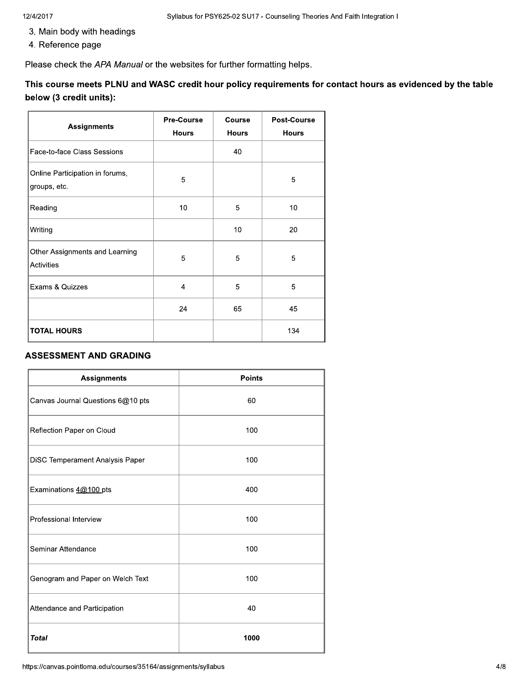- 3. Main body with headings
- 4. Reference page

Please check the APA Manual or the websites for further formatting helps.

This course meets PLNU and WASC credit hour policy requirements for contact hours as evidenced by the table below (3 credit units):

| <b>Assignments</b>                                  | <b>Pre-Course</b><br><b>Hours</b> | Course<br><b>Hours</b> | <b>Post-Course</b><br><b>Hours</b> |
|-----------------------------------------------------|-----------------------------------|------------------------|------------------------------------|
| Face-to-face Class Sessions                         |                                   | 40                     |                                    |
| Online Participation in forums,<br>groups, etc.     | 5                                 |                        | 5                                  |
| Reading                                             | 10                                | 5                      | 10                                 |
| Writing                                             |                                   | 10                     | 20                                 |
| Other Assignments and Learning<br><b>Activities</b> | 5                                 | 5                      | 5                                  |
| <b>Exams &amp; Quizzes</b>                          | 4                                 | 5                      | 5                                  |
|                                                     | 24                                | 65                     | 45                                 |
| <b>TOTAL HOURS</b>                                  |                                   |                        | 134                                |

#### **ASSESSMENT AND GRADING**

| <b>Assignments</b>                | <b>Points</b> |
|-----------------------------------|---------------|
| Canvas Journal Questions 6@10 pts | 60            |
| Reflection Paper on Cloud         | 100           |
| DiSC Temperament Analysis Paper   | 100           |
| Examinations 4@100 pts            | 400           |
| Professional Interview            | 100           |
| Seminar Attendance                | 100           |
| Genogram and Paper on Welch Text  | 100           |
| Attendance and Participation      | 40            |
| <b>Total</b>                      | 1000          |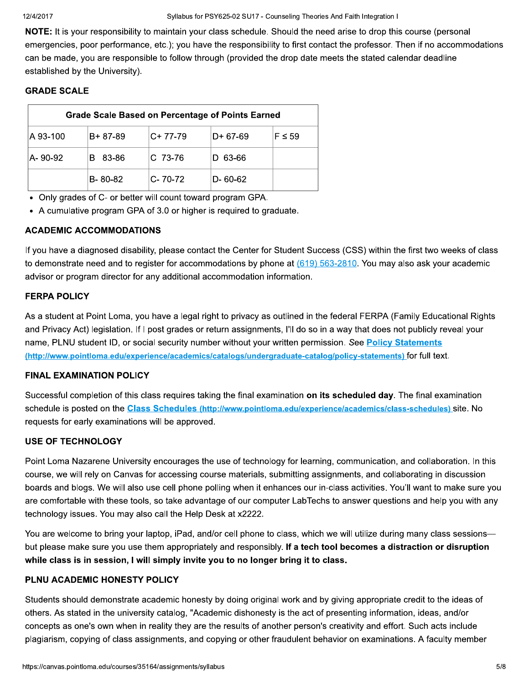#### 12/4/2017

Syllabus for PSY625-02 SU17 - Counseling Theories And Faith Integration I

NOTE: It is your responsibility to maintain your class schedule. Should the need arise to drop this course (personal emergencies, poor performance, etc.); you have the responsibility to first contact the professor. Then if no accommodations can be made, you are responsible to follow through (provided the drop date meets the stated calendar deadline established by the University).

## **GRADE SCALE**

| <b>Grade Scale Based on Percentage of Points Earned</b> |         |               |               |             |
|---------------------------------------------------------|---------|---------------|---------------|-------------|
| IA 93-100                                               | B+87-89 | $C+ 77-79$    | $D+67-69$     | $F \leq 59$ |
| IA- 90-92                                               | 83-86   | $C$ 73-76     | 63-66<br>Ð    |             |
|                                                         | B-80-82 | $C - 70 - 72$ | $D - 60 - 62$ |             |

• Only grades of C- or better will count toward program GPA.

• A cumulative program GPA of 3.0 or higher is required to graduate.

## **ACADEMIC ACCOMMODATIONS**

If you have a diagnosed disability, please contact the Center for Student Success (CSS) within the first two weeks of class to demonstrate need and to register for accommodations by phone at  $(619)$  563-2810. You may also ask your academic advisor or program director for any additional accommodation information.

## **FERPA POLICY**

As a student at Point Loma, you have a legal right to privacy as outlined in the federal FERPA (Family Educational Rights and Privacy Act) legislation. If I post grades or return assignments, I'll do so in a way that does not publicly reveal your name, PLNU student ID, or social security number without your written permission. See Policy Statements (http://www.pointloma.edu/experience/academics/catalogs/undergraduate-catalog/policy-statements) for full text.

## **FINAL EXAMINATION POLICY**

Successful completion of this class requires taking the final examination on its scheduled day. The final examination schedule is posted on the Class Schedules (http://www.pointloma.edu/experience/academics/class-schedules) site. No requests for early examinations will be approved.

## **USE OF TECHNOLOGY**

Point Loma Nazarene University encourages the use of technology for learning, communication, and collaboration. In this course, we will rely on Canvas for accessing course materials, submitting assignments, and collaborating in discussion boards and blogs. We will also use cell phone polling when it enhances our in-class activities. You'll want to make sure you are comfortable with these tools, so take advantage of our computer LabTechs to answer questions and help you with any technology issues. You may also call the Help Desk at x2222.

You are welcome to bring your laptop, iPad, and/or cell phone to class, which we will utilize during many class sessions but please make sure you use them appropriately and responsibly. If a tech tool becomes a distraction or disruption while class is in session, I will simply invite you to no longer bring it to class.

#### PLNU ACADEMIC HONESTY POLICY

Students should demonstrate academic honesty by doing original work and by giving appropriate credit to the ideas of others. As stated in the university catalog, "Academic dishonesty is the act of presenting information, ideas, and/or concepts as one's own when in reality they are the results of another person's creativity and effort. Such acts include plagiarism, copying of class assignments, and copying or other fraudulent behavior on examinations. A faculty member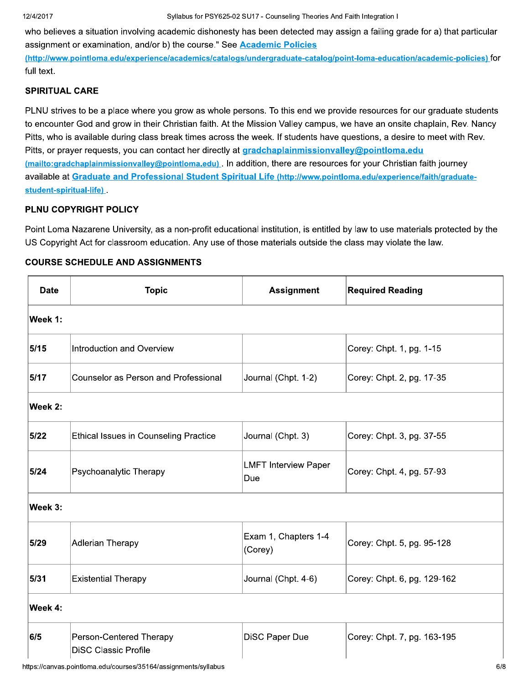$017$  Syliab bus for  $PSYbZ5-UZSU17$  - Counseling Theories And Faith Integration I

12/4/2017<br>who believes a situation involvin<br>assignment or examination, and<br>(http://www.pointloma.edu/experi<br>full text.<br>SPIRITUAL CARE<br>PLNU strives to be a place wher situation involving academic dishonesty has been detected may assign a failing grade for a) that particular Syllabus for PSY62<br>
believes a situation involving academic dishone<br>
ignment or examination, and/or b) the course." S<br>
b://www.pointloma.edu/experience/academics/cata<br>
dext.<br>
RITUAL CARE<br>
AU strives to be a place where you assignment or examination, and/or b) the course." See <mark>Academic Policies</mark>

(http://www.pointloma.edu/experience/academics/catalogs/undergraduate-catalog/point-loma-education/academic-policies) for full text.

### SPIRITUAL CARE

who believes a situation involvin<br>assignment or examination, and,<br>(http://www.pointloma.edu/experi-<br>full text.<br>SPIRITUAL CARE<br>PLNU strives to be a place wher<br>to encounter God and grow in th<br>Pitts, who is available during c place where you grow as whole persons. To this end we provide resources for our graduate students lishonesty has been detected may assign a failing grade for a)<br>
rse." See <u>Academic Policies</u><br>
cs/catalogs/undergraduate-catalog/point-loma-education/academ<br>
s whole persons. To this end we provide resources for our grad<br> to encounter God and grow in their Christian faith. At the Mission Valley campus, we have an onsite chaplain, Rev. Nancy **c Policies**<br>
aduate-catalog/point-loma-education/academic<br>
Valley campus, we have an onsite chaplain,<br>
If students have questions, a desire to meet v<br>
plainmissionvalley@pointloma.edu<br>
nere are resources for your Christia **-education/academic-policies)** for<br>purces for our graduate students<br>an onsite chaplain, Rev. Nancy<br>s, a desire to meet with Rev.<br>**intloma.edu**<br>ur Christian faith journey<br>propertional contexts of the state of the state of Pitts, who is available during class break times across the week. If students hav (http://www.pointloma.edu/experience<br>
full text.<br>
SPIRITUAL CARE<br>
PLNU strives to be a place where yo<br>
to encounter God and grow in their C<br>
Pitts, who is available during class bi<br>
Pitts, or prayer requests, you can coi<br> s/undergraduate-catalog/point-loma-education/<br>
rsons. To this end we provide resources for o<br>
e Mission Valley campus, we have an onsite c<br>
ne week. If students have questions, a desire<br>
<u>gradchaplainmissionvalley@pointlom</u> ucation/academic-policies) for<br>es for our graduate students<br>onsite chaplain, Rev. Nancy<br>desire to meet with Rev.<br><u>oma.edu</u><br>hristian faith journey<br>**perience/faith/graduate-**Pltts, or prayer requests, you can contact ner directly at <mark>gradchapialnmissionvalley@pointioma.edu</mark> <u>(mailto:gradchaplainmissionvalley@pointloma.edu) </u>. In addition, there are resources for your Christian faith journey avallable at <u>Graduate and Professional Student Spiritual Life (http://www.pointloma.edu/experience/faith/graduate-</u> PLNU strives to be a pla<br>to encounter God and g<br>Pitts, who is available di<br>Pitts, or prayer requests<br>(mailto:gradchaplainmiss<br>available at Graduate a<br>student-spiritual-life).<br>PLNU COPYRIGHT PO<br>Point Loma Nazarene U<br>US Copy student-spiritual-life) s, or prayer requests, you can contact her directions.<br>
<u>uilto:gradchaplainmissionvalley@pointloma.edu</u><br>
uilable at <u>Graduate and Professional Studer</u><br>
dent-spiritual-life).<br>
NU COPYRIGHT POLICY<br>
nt Loma Nazarene Universit

## PLNU COPYRIGHT POLICY

#### COURSE SCHEDULE AND ASSIGNMENTS

|             | US Copyright Act for classroom education. Any use of those materials outside the class may violate the law.<br><b>COURSE SCHEDULE AND ASSIGNMENTS</b> |                                    | Point Loma Nazarene University, as a non-profit educational institution, is entitled by law to use materials protected by the |
|-------------|-------------------------------------------------------------------------------------------------------------------------------------------------------|------------------------------------|-------------------------------------------------------------------------------------------------------------------------------|
| <b>Date</b> | <b>Topic</b>                                                                                                                                          | <b>Assignment</b>                  | <b>Required Reading</b>                                                                                                       |
| Week 1:     |                                                                                                                                                       |                                    |                                                                                                                               |
| 5/15        | Introduction and Overview                                                                                                                             |                                    | Corey: Chpt. 1, pg. 1-15                                                                                                      |
| $5/17$      | Counselor as Person and Professional                                                                                                                  | Journal (Chpt. 1-2)                | Corey: Chpt. 2, pg. 17-35                                                                                                     |
| Week 2:     |                                                                                                                                                       |                                    |                                                                                                                               |
| $5/22$      | <b>Ethical Issues in Counseling Practice</b>                                                                                                          | Journal (Chpt. 3)                  | Corey: Chpt. 3, pg. 37-55                                                                                                     |
| 5/24        | Psychoanalytic Therapy                                                                                                                                | <b>LMFT Interview Paper</b><br>Due | Corey: Chpt. 4, pg. 57-93                                                                                                     |
| Week 3:     |                                                                                                                                                       |                                    |                                                                                                                               |
| 5/29        | Adlerian Therapy                                                                                                                                      | Exam 1, Chapters 1-4<br>(Corey)    | Corey: Chpt. 5, pg. 95-128                                                                                                    |
| 5/31        | <b>Existential Therapy</b>                                                                                                                            | Journal (Chpt. 4-6)                | Corey: Chpt. 6, pg. 129-162                                                                                                   |
| Week 4:     |                                                                                                                                                       |                                    |                                                                                                                               |
| 6/5         | Person-Centered Therapy<br><b>DiSC Classic Profile</b>                                                                                                | <b>DiSC Paper Due</b>              | Corey: Chpt. 7, pg. 163-195                                                                                                   |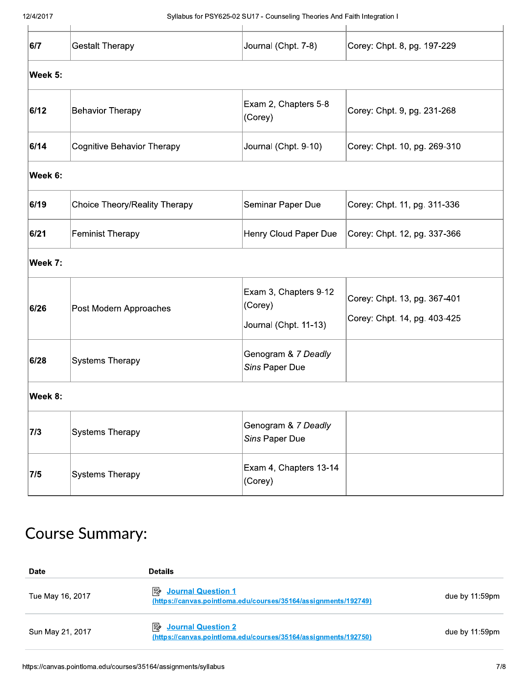#### 12/4/2017

Syllabus for PSY625-02 SU17 - Counseling Theories And Faith Integration I

| 6/7     | <b>Gestalt Therapy</b>            | Journal (Chpt. 7-8)                                       | Corey: Chpt. 8, pg. 197-229                                  |  |  |  |
|---------|-----------------------------------|-----------------------------------------------------------|--------------------------------------------------------------|--|--|--|
| Week 5: |                                   |                                                           |                                                              |  |  |  |
| 6/12    | <b>Behavior Therapy</b>           | Exam 2, Chapters 5-8<br>(Corey)                           | Corey: Chpt. 9, pg. 231-268                                  |  |  |  |
| 6/14    | <b>Cognitive Behavior Therapy</b> | Journal (Chpt. 9-10)                                      | Corey: Chpt. 10, pg. 269-310                                 |  |  |  |
| Week 6: |                                   |                                                           |                                                              |  |  |  |
| 6/19    | Choice Theory/Reality Therapy     | Seminar Paper Due                                         | Corey: Chpt. 11, pg. 311-336                                 |  |  |  |
| 6/21    | <b>Feminist Therapy</b>           | Henry Cloud Paper Due                                     | Corey: Chpt. 12, pg. 337-366                                 |  |  |  |
| Week 7: |                                   |                                                           |                                                              |  |  |  |
| 6/26    | Post Modern Approaches            | Exam 3, Chapters 9-12<br>(Corey)<br>Journal (Chpt. 11-13) | Corey: Chpt. 13, pg. 367-401<br>Corey: Chpt. 14, pg. 403-425 |  |  |  |
| 6/28    | <b>Systems Therapy</b>            | Genogram & 7 Deadly<br>Sins Paper Due                     |                                                              |  |  |  |
| Week 8: |                                   |                                                           |                                                              |  |  |  |
| 7/3     | <b>Systems Therapy</b>            | Genogram & 7 Deadly<br>Sins Paper Due                     |                                                              |  |  |  |
| 7/5     | <b>Systems Therapy</b>            | Exam 4, Chapters 13-14<br>(Corey)                         |                                                              |  |  |  |

# **Course Summary:**

| <b>Date</b>      | <b>Details</b>                                                                                     |                |
|------------------|----------------------------------------------------------------------------------------------------|----------------|
| Tue May 16, 2017 | 駗<br><b>Journal Question 1</b><br>(https://canvas.pointloma.edu/courses/35164/assignments/192749)  | due by 11:59pm |
| Sun May 21, 2017 | ⊧≽<br><b>Journal Question 2</b><br>(https://canvas.pointloma.edu/courses/35164/assignments/192750) | due by 11:59pm |